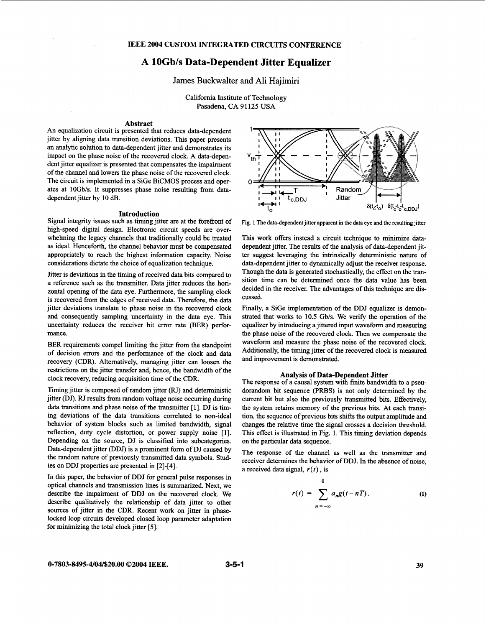# **A 10Gb/s Data-Dependent Jitter Equalizer**

# James Buckwalter and Ali Hajimiri

California Institute **of** Technology Pasadena, CA **9 1** 125 USA

### **Abstract**

<span id="page-0-0"></span>**An** equalization circuit is presented that reduces data-dependent jitter by aligning data transition deviations. This paper presents an analytic solution to data-dependent jitter and demonstrates its impact on the phase noise of the recovered clock. A data-dependent jitter equalizer is presented that compensates the impairment **of** the channel and lowers the phase noise **of** the recovered clock. The circuit is implemented in a SiGe BiCMOS process and operates at lOGb/s. It suppresses phase noise resulting from datadependent jitter by 10 dB.

# **Introduction**

Signal integrity issues such as timing jitter are at the forefront of high-speed digital design. Electronic circuit speeds are overwhelming the legacy channels that traditionally could be treated as ideal. Henceforth, the channel behavior must be compensated appropriately to reach the highest information capacity. Noise considerations dictate the choice **of** equalization technique.

Jitter is deviations in the timing **of** received data bits compared to a reference such as the transmitter. Data jitter reduces the horizontal opening of the data eye. Furthermore, the sampling clock is recovered from the edges **of** received data. Therefore, the data jitter deviations translate to phase noise in the recovered clock and consequently sampling uncertainty in the data eye. This uncertainty reduces the receiver bit error rate (BER) performance.

BER requirements compel limiting the jitter from the standpoint **of** decision errors and the performance of the clock and data recovery (CDR). Alternatively, managing jitter can loosen the restrictions on the jitter transfer and, hence, the bandwidth of the clock recovery, reducing acquisition time **of** the CDR.

Timing jitter is composed of random jitter **(RJ)** and deterministic jitter (DJ). RJ results from random voltage noise occurring during data transitions and phase noise of the transmitter [1]. DJ is timing deviations **of** the data transitions correlated to non-ideal behavior **of** system blocks such as limited bandwidth, signal reflection, duty cycle distortion, or power supply noise [l]. Depending on the source, DJ is classified into subcategories. Data-dependent jitter (DDJ) is a prominent form **of** DJ caused by the random nature of previously transmitted data symbols. Studies on DDJ properties are presented in **[2]-[4].** 

In this paper, the behavior of DDJ for general pulse responses in optical channels and transmission lines is summarized. Next, we describe the impairment of DDJ on the recovered clock. We describe qualitatively the relationship of data jitter to other sources of jitter in the CDR. Recent work on jitter in phaselocked loop circuits developed closed loop parameter adaptation for minimizing the total clock jitter **[SI.** 



Fig. 1 The data-dependent jitter apparent **in** the **data** eye **and** the resulting jitter

This work offers instead a circuit technique to minimize datadependent jitter. The results of the analysis of data-dependent jitter suggest leveraging the intrinsically deterministic nature of data-dependent jitter to dynamically adjust the receiver response. Though the data is generated stochastically, the effect on the transition time can be determined once the data value has been decided in the receiver. The advantages **of** this technique are discussed.

Finally, a SiGe implementation of the DDJ equalizer is demonstrated that works to 10.5 Gb/s. We verify the operation **of** the equalizer by introducing a jittered input waveform and measuring the phase noise **of** the recovered clock. Then we compensate the waveform and measure the phase noise **of** the recovered clock. Additionally, the timing jitter of the recovered clock is measured and improvement is demonstrated.

## **Analysis of Data-Dependent Jitter**

The response of a causal system with finite bandwidth to a pseudorandom bit sequence **(PRBS)** is not only determined by the current bit but also the previously transmitted bits. Effectively, the system retains memory of the previous bits. At each transition, the sequence **of** previous bits shifts the output amplitude and changes the relative time the signal crosses a decision threshold. This effect is illustrated in Fig. 1. This timing deviation depends on the particular data sequence.

The response of the channel as well as the transmitter and receiver determines the behavior of DDJ. In the absence of noise, a received data signal,  $r(t)$ , is

$$
r(t) = \sum_{n = -\infty}^{0} a_n g(t - nT).
$$
 (1)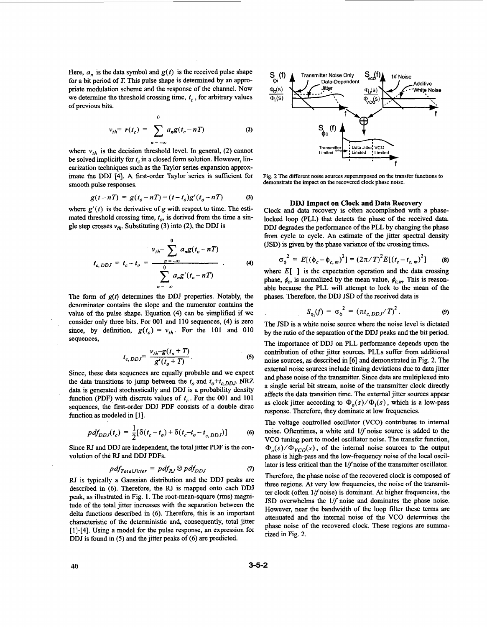Here,  $a_n$  is the data symbol and  $g(t)$  is the received pulse shape for a bit period of *T* This pulse shape is determined by an appropriate modulation scheme and the response of the channel. Now we determine the threshold crossing time,  $t_c$ , for arbitrary values of previous bits.

**0** 

$$
v_{th} = r(t_c) = \sum_{n = -\infty}^{0} a_n g(t_c - nT)
$$
 (2)

where  $v_{th}$  is the decision threshold level. In general, (2) cannot be solved implicitly for  $t_c$  in a closed form solution. However, linearization techniques such as the Taylor series expansion approximate the DDJ **141.** A first-order Taylor'series is sufficient for smooth pulse responses.

$$
g(t-nT) = g(t_0-nT) + (t-t_0)g'(t_0-nT)
$$
 (3)

where  $g'(t)$  is the derivative of g with respect to time. The estimated threshold crossing time,  $t_o$ , is derived from the time a single step crosses  $v_{th}$ . Substituting (3) into (2), the DDJ is

$$
v_{th} = \sum_{n = -\infty}^{0} a_n g(t_o - nT)
$$
  

$$
t_{c, DDJ} = t_c - t_o = \frac{n - \infty}{\sum_{n = -\infty}^{0} a_n g'(t_o - nT)}
$$
 (4)

The form of *s(t)* determines the DDJ properties. Notably, the denominator contains the slope and the numerator contains the value of the pulse shape. Equation **(4)** can be simplified if we consider only three bits. For 001 and 110 sequences, **(4)** is zero since, by definition,  $g(t_o) = v_{th}$ . For the 101 and 010 sequences,

$$
t_{c,DDJ} = \frac{v_{th} - g(t_o + T)}{g'(t_o + T)}.
$$
 (5)

Since, these data sequences are equally probable and we expect the data transitions to jump between the  $t_0$  and  $t_0 + t_{c,DDJ}$ . NRZ data is generated stochastically and DDJ is a probability density function (PDF) with discrete values of *t,* . For the 001 and 101 sequences, the first-order DDJ PDF consists of a double dirac function as modeled in [1].

$$
pdf_{DDJ}(t_c) = \frac{1}{2} [\delta(t_c - t_o) + \delta(t_c - t_o - t_{c,DDJ})]
$$
 (6)

Since RJ and DDJ are independent, the total jitter PDF is the convolution of the RJ and DDJ PDFs.

$$
pdf_{TotalJitter} = pdf_{RJ} \otimes pdf_{DDJ} \tag{7}
$$

RJ is typically **a** Gaussian distribution and the DDJ peaks are described in (6). Therefore, the RJ is mapped onto each DDJ peak, as illustrated in [Fig. 1.](#page-0-0) The root-mean-square (rms) magnitude of the total jitter increases with the separation between the delta functions described in (6). Therefore, this is an important characteristic of the deterministic and, consequently, total jitter **[1]-[4].** Using a model for the pulse response, an expression for DDJ is found in *(5)* and the jitter peaks of (6) are predicted.



Fig. **2** The different noise sources superimposed on the transfer functions to demonstrate the impact on the recovered clock phase noise.

# **DDJ Impact on Clock and Data Recovery**

Clock and data recovery is often accomplished with a phaselocked loop (PLL) that detects the phase of the received data. DDJ degrades the performance of the PLL by changing the phase from cycle to cycle. An estimate of the jitter spectral density (JSD) is given by the phase variance of the crossing times.

$$
\sigma_{\phi}^{2} = E[(\phi_{c} - \phi_{c,m})^{2}] = (2\pi/T)^{2}E[(t_{c} - t_{c,m})^{2}]
$$
 (8)

where  $E[\ ]$  is the expectation operation and the data crossing phase,  $\phi_c$ , is normalized by the mean value,  $\phi_{c,m}$ . This is reasonable because the PLL will attempt to lock to the mean of the phases. Therefore, the DDJ JSD of the received data is

$$
S_{\phi_i}(f) = \sigma_{\phi}^2 = (\pi t_{c,DDJ}/T)^2.
$$
 (9)

The JSD is a white noise source where the noise level is dictated by the ratio of the separation of the DDJ peaks and the bit period.

The importance of DDJ on PLL performance depends upon the contribution of other jitter sources. PLLs suffer from additional noise sources, as described in [6] and demonstrated in Fig. 2. The external noise sources include timing deviations due to data jitter and phase noise of the transmitter. Since data are multiplexed into a single serial bit stream, noise of the transmitter clock directly affects the data transition time. The external jitter sources appear as clock jitter according to  $\Phi_o(s)/\Phi_i(s)$ , which is a low-pass response. Therefore, they dominate at low frequencies.

The voltage controlled oscillator *(VCO)* contributes to internal noise. Oftentimes, a white and  $1/f$  noise source is added to the VCO tuning port to model oscillator noise. The transfer function,  $\Phi_{\rho}(s)/\Phi_{VCO}(s)$ , of the internal noise sources to the output phase is high-pass and the low-frequency noise of the local oscillator is less critical than the  $1/f$  noise of the transmitter oscillator.

Therefore, the phase noise of the recovered clock is composed of three regions. At very low frequencies, the noise of the transmitter clock (often  $1/f$  noise) is dominant. At higher frequencies, the JSD overwhelms the  $1/f$  noise and dominates the phase noise. However, near the bandwidth of the loop filter these terms are attenuated and the internal noise of the VCO determines the phase noise of the recovered clock. These regions are summarized in Fig. 2.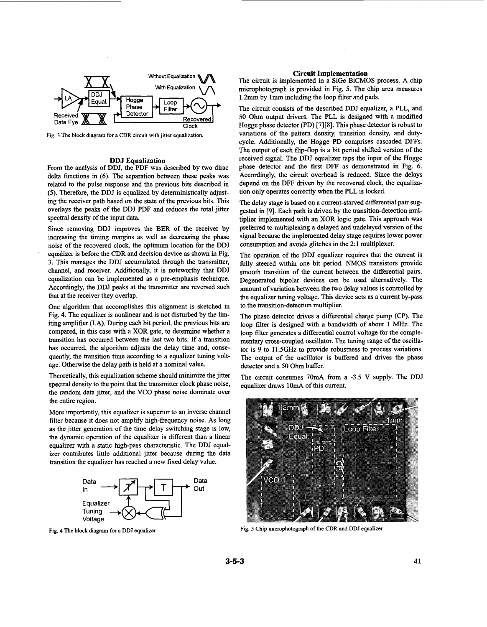

Fig. 3 The block diagram for a CDR circuit with jitter equalization.

# **DDJ Equalization**

From the analysis of DDJ, the PDF was described by two dirac delta functions in (6). The separation between these peaks was related to the pulse response and the previous bits described in *(5).* Therefore, the DDJ is equalized by deterministically adjusting the receiver path based on the state of the previous bits. This overlays the peaks of the DDJ PDF and reduces the total jitter spectral density of the input data.

Since removing DDJ improves the BER of the receiver by increasing the timing margins as well as decreasing the phase noise of the recovered clock, the optimum location for the DDJ equalizer is before the CDR and decision device as shown in Fig. 3. This manages the DDJ accumulated through the transmitter, channel, and receiver. Additionally, it is noteworthy that DDJ equalization can be implemented as a pre-emphasis technique. Accordingly, the DDJ peaks at the transmitter are reversed such that at the receiver they overlap.

One algorithm that accomplishes this alignment is sketched in Fig, *4.* The equalizer is nonlinear and is not disturbed by the limiting amplifier (LA). During each bit period, the previous bits are compared, in this case with a XOR gate, to determine whether a transition has occurred between the last two bits. If a transition has occurred, the algorithm adjusts the delay time and, consequently, the transition time according to a equalizer tuning voltage. Otherwise the delay path is held at a nominal value.

Theoretically, this equalization scheme should minimize the jitter spectral density to the point that the transmitter clock phase noise, the random data jitter, and the VCO phase noise dominate over the entire region.

More importantly, this equalizer is superior to an inverse channel filter because it does not amplify high-frequency noise. As long as the jitter generation of the time delay switching stage is low, the dynamic operation of the equalizer is different than a linear equalizer with a static high-pass characteristic. The DDJ equalizer contributes little additional jitter because during the data transition the equalizer has reached a new fixed delay value.



Fig. **4** The block diagram for a DDJ equalizer.

# **Circuit Implementation**

The circuit is implemented in a SiGe BiCMOS process. A chip microphotograph is provided in Fig. *5.* The chip area measures 1.2mm by lmm including the loop filter and pads.

The circuit consists of the described DDJ equalizer, a PLL, and *50* Ohm output drivers. The PLL is designed with a modified Hogge phase detector (PD) **[7][8].** This phase detector is robust to variations of the pattern density, transition density, and dutycycle. Additionally, the Hogge PD comprises cascaded DFFs. The output of each flip-flop is a bit period shifted version of the received signal. The DDJ equalizer taps the input of the Hogge phase detector and the first DFF as demonstrated **in** [Fig.](#page-3-0) **6.**  Accordingly, the circuit overhead is reduced. Since the delays depend on the DFF driven by the recovered clock, the equalization only operates correctly when the PLL is locked.

The delay stage is based on a current-starved differential pair suggested in **[9].** Each path is driven by the transition-detection multiplier implemented with an XOR logic gate. This approach was preferred to multiplexing a delayed and undelayed version of the signal because the implemented delay stage requires lower power consumption and avoids glitches in the 2: 1 multiplexer.

The operation of the DDJ equalizer requires that the current is fully steered within one bit period. NMOS transistors provide smooth transition of the current between the differential pairs. Degenerated bipolar devices can be used alternatively. The amount of variation between the two delay values is controlled by the equalizer tuning voltage. This device acts as a current by-pass to the transition-detection multiplier.

The phase detector drives a differential charge pump (CP). The loop filter is designed with a bandwidth of about 1 **MHz.** The loop filter generates a differential control voltage for the complementary cross-coupled oscillator. The tuning range of the oscillator is 9 to **11** SGHz to provide robustness to process variations. The output of the oscillator is buffered and drives the phase detector and a *50* Ohm buffer.

The circuit consumes 70mA from a **-3.5** V supply. The DDJ equalizer draws lOmA of this current.



Fig. *5* Chip microphotograph of the CDR **and** DDJ equalizer.